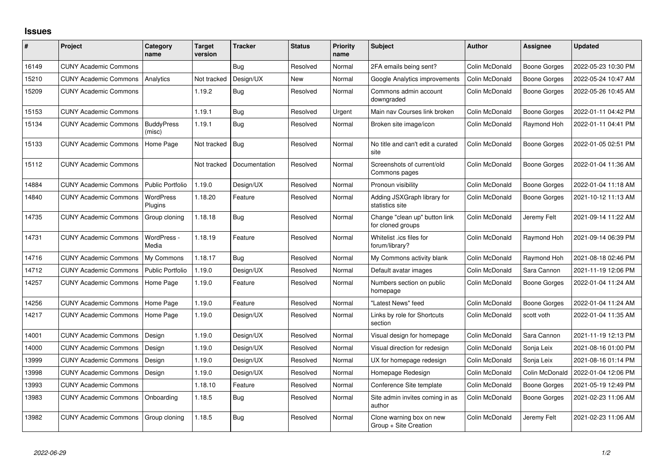## **Issues**

| ∦     | Project                      | Category<br>name            | <b>Target</b><br>version | <b>Tracker</b> | <b>Status</b> | <b>Priority</b><br>name | <b>Subject</b>                                     | <b>Author</b>  | Assignee            | <b>Updated</b>      |
|-------|------------------------------|-----------------------------|--------------------------|----------------|---------------|-------------------------|----------------------------------------------------|----------------|---------------------|---------------------|
| 16149 | <b>CUNY Academic Commons</b> |                             |                          | Bug            | Resolved      | Normal                  | 2FA emails being sent?                             | Colin McDonald | <b>Boone Gorges</b> | 2022-05-23 10:30 PM |
| 15210 | <b>CUNY Academic Commons</b> | Analytics                   | Not tracked              | Design/UX      | <b>New</b>    | Normal                  | Google Analytics improvements                      | Colin McDonald | <b>Boone Gorges</b> | 2022-05-24 10:47 AM |
| 15209 | <b>CUNY Academic Commons</b> |                             | 1.19.2                   | <b>Bug</b>     | Resolved      | Normal                  | Commons admin account<br>downgraded                | Colin McDonald | Boone Gorges        | 2022-05-26 10:45 AM |
| 15153 | <b>CUNY Academic Commons</b> |                             | 1.19.1                   | Bug            | Resolved      | Urgent                  | Main nav Courses link broken                       | Colin McDonald | <b>Boone Gorges</b> | 2022-01-11 04:42 PM |
| 15134 | <b>CUNY Academic Commons</b> | <b>BuddyPress</b><br>(misc) | 1.19.1                   | <b>Bug</b>     | Resolved      | Normal                  | Broken site image/icon                             | Colin McDonald | Raymond Hoh         | 2022-01-11 04:41 PM |
| 15133 | <b>CUNY Academic Commons</b> | Home Page                   | Not tracked              | Bug            | Resolved      | Normal                  | No title and can't edit a curated<br>site          | Colin McDonald | <b>Boone Gorges</b> | 2022-01-05 02:51 PM |
| 15112 | <b>CUNY Academic Commons</b> |                             | Not tracked              | Documentation  | Resolved      | Normal                  | Screenshots of current/old<br>Commons pages        | Colin McDonald | Boone Gorges        | 2022-01-04 11:36 AM |
| 14884 | <b>CUNY Academic Commons</b> | <b>Public Portfolio</b>     | 1.19.0                   | Design/UX      | Resolved      | Normal                  | Pronoun visibility                                 | Colin McDonald | <b>Boone Gorges</b> | 2022-01-04 11:18 AM |
| 14840 | <b>CUNY Academic Commons</b> | <b>WordPress</b><br>Plugins | 1.18.20                  | Feature        | Resolved      | Normal                  | Adding JSXGraph library for<br>statistics site     | Colin McDonald | Boone Gorges        | 2021-10-12 11:13 AM |
| 14735 | <b>CUNY Academic Commons</b> | Group cloning               | 1.18.18                  | <b>Bug</b>     | Resolved      | Normal                  | Change "clean up" button link<br>for cloned groups | Colin McDonald | Jeremy Felt         | 2021-09-14 11:22 AM |
| 14731 | <b>CUNY Academic Commons</b> | WordPress -<br>Media        | 1.18.19                  | Feature        | Resolved      | Normal                  | Whitelist .ics files for<br>forum/library?         | Colin McDonald | Raymond Hoh         | 2021-09-14 06:39 PM |
| 14716 | <b>CUNY Academic Commons</b> | My Commons                  | 1.18.17                  | <b>Bug</b>     | Resolved      | Normal                  | My Commons activity blank                          | Colin McDonald | Raymond Hoh         | 2021-08-18 02:46 PM |
| 14712 | <b>CUNY Academic Commons</b> | <b>Public Portfolio</b>     | 1.19.0                   | Design/UX      | Resolved      | Normal                  | Default avatar images                              | Colin McDonald | Sara Cannon         | 2021-11-19 12:06 PM |
| 14257 | <b>CUNY Academic Commons</b> | Home Page                   | 1.19.0                   | Feature        | Resolved      | Normal                  | Numbers section on public<br>homepage              | Colin McDonald | Boone Gorges        | 2022-01-04 11:24 AM |
| 14256 | <b>CUNY Academic Commons</b> | Home Page                   | 1.19.0                   | Feature        | Resolved      | Normal                  | "Latest News" feed                                 | Colin McDonald | <b>Boone Gorges</b> | 2022-01-04 11:24 AM |
| 14217 | <b>CUNY Academic Commons</b> | Home Page                   | 1.19.0                   | Design/UX      | Resolved      | Normal                  | Links by role for Shortcuts<br>section             | Colin McDonald | scott voth          | 2022-01-04 11:35 AM |
| 14001 | <b>CUNY Academic Commons</b> | Design                      | 1.19.0                   | Design/UX      | Resolved      | Normal                  | Visual design for homepage                         | Colin McDonald | Sara Cannon         | 2021-11-19 12:13 PM |
| 14000 | <b>CUNY Academic Commons</b> | Design                      | 1.19.0                   | Design/UX      | Resolved      | Normal                  | Visual direction for redesign                      | Colin McDonald | Sonja Leix          | 2021-08-16 01:00 PM |
| 13999 | <b>CUNY Academic Commons</b> | Design                      | 1.19.0                   | Design/UX      | Resolved      | Normal                  | UX for homepage redesign                           | Colin McDonald | Sonja Leix          | 2021-08-16 01:14 PM |
| 13998 | <b>CUNY Academic Commons</b> | Design                      | 1.19.0                   | Design/UX      | Resolved      | Normal                  | Homepage Redesign                                  | Colin McDonald | Colin McDonald      | 2022-01-04 12:06 PM |
| 13993 | <b>CUNY Academic Commons</b> |                             | 1.18.10                  | Feature        | Resolved      | Normal                  | Conference Site template                           | Colin McDonald | Boone Gorges        | 2021-05-19 12:49 PM |
| 13983 | <b>CUNY Academic Commons</b> | Onboarding                  | 1.18.5                   | Bug            | Resolved      | Normal                  | Site admin invites coming in as<br>author          | Colin McDonald | <b>Boone Gorges</b> | 2021-02-23 11:06 AM |
| 13982 | <b>CUNY Academic Commons</b> | Group cloning               | 1.18.5                   | Bug            | Resolved      | Normal                  | Clone warning box on new<br>Group + Site Creation  | Colin McDonald | Jeremy Felt         | 2021-02-23 11:06 AM |